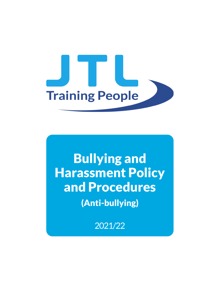

# Bullying and Harassment Policy and Procedures

(Anti-bullying)

2021/22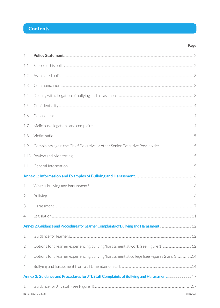# **Contents**

| 1.  |                                                                                           |  |
|-----|-------------------------------------------------------------------------------------------|--|
| 1.1 |                                                                                           |  |
| 1.2 |                                                                                           |  |
| 1.3 |                                                                                           |  |
| 1.4 |                                                                                           |  |
| 1.5 |                                                                                           |  |
| 1.6 |                                                                                           |  |
| 1.7 |                                                                                           |  |
| 1.8 |                                                                                           |  |
| 1.9 |                                                                                           |  |
|     |                                                                                           |  |
|     |                                                                                           |  |
|     |                                                                                           |  |
| 1.  |                                                                                           |  |
| 2.  |                                                                                           |  |
| 3.  |                                                                                           |  |
| 4.  |                                                                                           |  |
|     |                                                                                           |  |
| 1.  |                                                                                           |  |
| 2.  | Options for a learner experiencing bullying/harassment at work (see Figure 1) 12          |  |
| 3.  | Options for a learner experiencing bullying/harassment at college (see Figures 2 and 3)14 |  |
| 4.  |                                                                                           |  |
|     |                                                                                           |  |
| 1.  | JTL727 Rev 12 06/21<br>$\mathbf{1}$<br>© JTL2021                                          |  |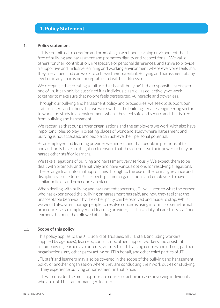# 1. Policy Statement

#### **1. Policy statement**

JTL is committed to creating and promoting a work and learning environment that is free of bullying and harassment and promotes dignity and respect for all. We value others for their contribution, irrespective of personal differences, and strive to provide a supportive and inclusive learning and working environment where everyone feels that they are valued and can work to achieve their potential. Bullying and harassment at any level or in any form is not acceptable and will be addressed.

We recognise that creating a culture that is 'anti-bullying' is the responsibility of each one of us. It can only be sustained if as individuals as well as collectively we work together to make sure that no one feels persecuted, vulnerable and powerless.

Through our bullying and harassment policy and procedures, we seek to support our staff, learners and others that we work with in the building services engineering sector to work and study in an environment where they feel safe and secure and that is free from bullying and harassment.

We recognise that our partner organisations and the employers we work with also have important roles to play in creating places of work and study where harassment and bullying is not accepted, and people can achieve their personal potential.

As an employer and learning provider we understand that people in positions of trust and authority have an obligation to ensure that they do not use their power to bully or harass other staff or learners.

We take allegations of bullying and harassment very seriously. We expect them to be dealt with promptly and sensitively and have various options for resolving allegations. These range from informal approaches through to the use of the formal grievance and disciplinary procedures. JTL expects partner organisations and employers to have similar policies and procedures in place.

When dealing with bullying and harassment concerns, JTL will listen to what the person who has experienced the bullying or harassment has said, and how they feel that the unacceptable behaviour by the other party can be resolved and made to stop. Whilst we would always encourage people to resolve concerns using informal or semi-formal procedures, as an employer and learning provider, JTL has a duty of care to its staff and learners that must be followed at all times.

# 1.1 **Scope of this policy**

This policy applies to the JTL Board of Trustees, all JTL staff, (including workers supplied by agencies), learners, contractors, other support workers and assistants accompanying learners, volunteers, visitors to JTL training centres and offices, partner organisations, any other party acting on JTL's behalf, and other third parties of JTL.

JTL staff and learners may also be covered in the scope of the bullying and harassment policy of another organisation where they are conducting their work duties or studying if they experience bullying or harassment in that place.

JTL will consider the most appropriate course of action in cases involving individuals who are not JTL staff or managed learners.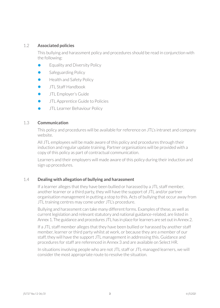# 1.2 **Associated policies**

This bullying and harassment policy and procedures should be read in conjunction with the following:

- **•** Equality and Diversity Policy
- **•** Safeguarding Policy
- **•** Health and Safety Policy
- **•** JTL Staff Handbook
- **•** JTL Employer's Guide
- **•** JTL Apprentice Guide to Policies
- **•** JTL Learner Behaviour Policy

# 1.3 **Communication**

This policy and procedures will be available for reference on JTL's intranet and company website.

All JTL employees will be made aware of this policy and procedures through their induction and regular update training. Partner organisations will be provided with a copy of this policy as part of contractual communication.

Learners and their employers will made aware of this policy during their induction and sign up procedures.

# 1.4 **Dealing with allegation of bullying and harassment**

If a learner alleges that they have been bullied or harassed by a JTL staff member, another learner or a third party, they will have the support of JTL and/or partner organisation management in putting a stop to this. Acts of bullying that occur away from JTL training centres may come under JTL's procedure.

Bullying and harassment can take many different forms. Examples of these, as well as current legislation and relevant statutory and national guidance-related, are listed in Annex 1. The guidance and procedures JTL has in place for learners are set out in Annex 2.

If a JTL staff member alleges that they have been bullied or harassed by another staff member, learner or third party whilst at work, or because they are a member of our staff, they will have the support JTL management in addressing this. Guidance and procedures for staff are referenced in Annex 3 and are available on Select HR.

In situations involving people who are not JTL staff or JTL-managed learners, we will consider the most appropriate route to resolve the situation.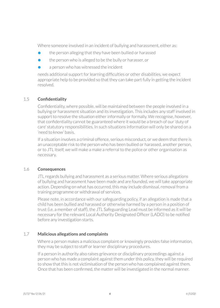Where someone involved in an incident of bullying and harassment, either as:

- **•** the person alleging that they have been bullied or harassed
- **•** the person who is alleged to be the bully or harasser, or
- **•** a person who has witnessed the incident

needs additional support for learning difficulties or other disabilities, we expect appropriate help to be provided so that they can take part fully in getting the incident resolved.

# 1.5 **Confidentiality**

 Confidentiality, where possible, will be maintained between the people involved in a bullying or harassment situation and its investigation. This includes any staff involved in support to resolve the situation either informally or formally. We recognise, however, that confidentiality cannot be guaranteed where it would be a breach of our'duty of care' statutory responsibilities. In such situations information will only be shared on a 'need to know' basis.

If a situation involves a criminal offence, serious misconduct, or we deem that there is an unacceptable risk to the person who has been bullied or harassed, another person, or to JTL itself, we will make a make a referral to the police or other organisation as necessary.

# 1.6 **Consequences**

JTL regards bullying and harassment as a serious matter. Where serious allegations of bullying and harassment have been made and are founded, we will take appropriate action. Depending on what has occurred, this may include dismissal, removal from a training programme or withdrawal of services.

Please note, in accordance with our safeguarding policy, if an allegation is made that a child has been bullied and harassed or otherwise harmed by a person in a position of trust (i.e. a member of staff), the JTL Safeguarding Lead must be informed as it will be necessary for the relevant Local Authority Designated Officer (LADO) to be notified before any investigation starts.

# 1.7 **Malicious allegations and complaints**

Where a person makes a malicious complaint or knowingly provides false information, they may be subject to staff or learner disciplinary procedures.

If a person in authority also raises grievance or disciplinary proceedings against a person who has made a complaint against them under this policy, they will be required to show that this is not victimisation of the person who has complained against them. Once that has been confirmed, the matter will be investigated in the normal manner.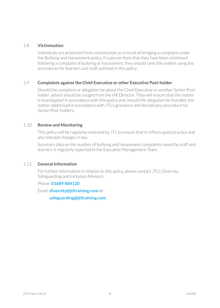#### 1.8 **Victimisation**

Individuals are protected from victimisation as a result of bringing a complaint under the Bullying and Harassment policy. If a person feels that they have been victimised following a complaint of bullying or harassment, they should raise this matter using the procedures for learners and staff outlined in this policy.

#### 1.9 **Complaints against the Chief Executive or other Executive Post-holder**

Should the complaint or allegation be about the Chief Executive or another Senior Postholder, advice should be sought from the HR Director. They will ensure that the matter is investigated in accordance with this policy and, should the allegation be founded, the matter addressed in accordance with JTL's grievance and disciplinary procedure for Senior Post-holders.

#### 1.10 **Review and Monitoring**

This policy will be regularly reviewed by JTL to ensure that it reflects good practice and any relevant changes in law.

Summary data on the number of bullying and harassment complaints raised by staff and learners is regularly reported to the Executive Management Team.

#### 1.11 **General Information**

For further information in relation to this policy, please contact JTL's Diversity, Safeguarding and Inclusion Advisors.

#### Phone: **01689 884120**

Email: **diversity@jtltraining.com** or

**safeguarding@jtltraining.com**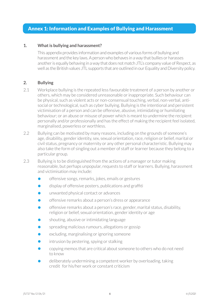# Annex 1: Information and Examples of Bullying and Harassment

#### **1. What is bullying and harassment?**

This appendix provides information and examples of various forms of bullying and harassment and the key laws. A person who behaves in a way that bullies or harasses another is equally behaving in a way that does not match JTL's company value of Respect, as well as the British values JTL supports that are outlined in our Equality and Diversity policy.

#### **2. Bullying**

- 2.1 Workplace bullying is the repeated less favourable treatment of a person by another or others, which may be considered unreasonable or inappropriate. Such behaviour can be physical, such as violent acts or non-consensual touching, verbal, non-verbal, antisocial or technological, such as cyber bullying. Bullying is the intentional and persistent victimisation of a person and can be offensive, abusive, intimidating or humiliating behaviour; or an abuse or misuse of power which is meant to undermine the recipient personally and/or professionally and has the effect of making the recipient feel isolated, marginalised, powerless or worthless.
- 2.2 Bullying can be motivated by many reasons, including on the grounds of someone's age, disability, gender identity, sex, sexual orientation, race, religion or belief, marital or civil status, pregnancy or maternity or any other personal characteristic. Bullying may also take the form of singling out a member of staff or learner because they belong to a particular group.
- 2.3 Bullying is to be distinguished from the actions of a manager or tutor making reasonable, but perhaps unpopular, requests to staff or learners. Bullying, harassment and victimisation may include:
	- **•** offensive songs, remarks, jokes, emails or gestures
	- display of offensive posters, publications and graffiti
	- **•** unwanted physical contact or advances
	- **•** offensive remarks about a person's dress or appearance
	- **•** offensive remarks about a person's race, gender, marital status, disability, religion or belief, sexual orientation, gender identity or age
	- **•** shouting, abusive or intimidating language
	- **•** spreading malicious rumours, allegations or gossip
	- **•** excluding, marginalising or ignoring someone
	- **•** intrusion by pestering, spying or stalking
	- **•** copying memos that are critical about someone to others who do not need to know
	- **•** deliberately undermining a competent worker by overloading, taking credit for his/her work or constant criticism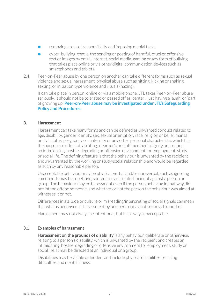- **•** removing areas of responsibility and imposing menial tasks
- **•** cyber-bullying: that is, the sending or posting of harmful, cruel or offensive text or images by email, internet, social media, gaming or any form of bullying that takes place online or via other digital communication devices such as smartphones and tablets.
- 2.4 Peer-on-Peer abuse by one person on another can take different forms such as sexual violence and sexual harassment, physical abuse such as hitting, kicking or shaking, sexting, or initiation type violence and rituals (hazing).

It can take place in person, online or via a mobile phone. JTL takes Peer-on-Peer abuse seriously. It should not be tolerated or passed off as 'banter', 'just having a laugh' or 'part of growing up'. **Peer-on-Peer abuse may be investigated under JTL's Safeguarding Policy and Procedures.**

#### **3. Harassment**

Harassment can take many forms and can be defined as unwanted conduct related to age, disability, gender identity, sex, sexual orientation, race, religion or belief, marital or civil status, pregnancy or maternity or any other personal characteristic which has the purpose or effect of violating a learner's or staff member's dignity or creating an intimidating, hostile, degrading or offensive environment for employment, study or social life. The defining feature is that the behaviour is unwanted by the recipient andunwarranted by the working or study/social relationship and would be regarded as such by any reasonable person.

Unacceptable behaviour may be physical, verbal and/or non-verbal, such as ignoring someone. It may be repetitive, sporadic or an isolated incident against a person or group. The behaviour may be harassment even if the person behaving in that way did not intend offend someone, and whether or not the person the behaviour was aimed at witnesses it or not.

Differences in attitude or culture or misreading/interpreting of social signals can mean that what is perceived as harassment by one person may not seem so to another.

Harassment may not always be intentional, but it is always unacceptable.

# 3.1 **Examples of harassment**

**Harassment on the grounds of disability** is any behaviour, deliberate or otherwise, relating to a person's disability, which is unwanted by the recipient and creates an intimidating, hostile, degrading or offensive environment for employment, study or social life. It may be directed at an individual or a group.

Disabilities may be visible or hidden, and include physical disabilities, learning difficulties and mental illness.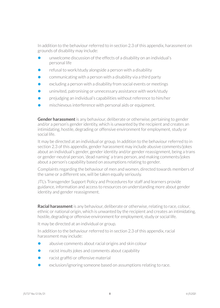In addition to the behaviour referred to in section 2.3 of this appendix, harassment on grounds of disability may include:

- **•** unwelcome discussion of the effects of a disability on an individual's personal life
- **•** refusal to work/study alongside a person with a disability
- **•** communicating with a person with a disability via a third party
- **•** excluding a person with a disability from social events or meetings
- **•** uninvited, patronising or unnecessary assistance with work/study
- **•** prejudging an individual's capabilities without reference to him/her
- **•** mischievous interference with personal aids or equipment.

**Gender harassment** is any behaviour, deliberate or otherwise, pertaining to gender and/or a person's gender identity, which is unwanted by the recipient and creates an intimidating, hostile, degrading or offensive environment for employment, study or social life.

It may be directed at an individual or group. In addition to the behaviour referred to in section 2.3 of this appendix, gender harassment may include abusive comments/jokes about an individual's gender, gender identity and/or gender reassignment, being a trans or gender-neutral person, 'dead naming' a trans person, and making comments/jokes about a person's capability based on assumptions relating to gender.

Complaints regarding the behaviour of men and women, directed towards members of the same or a different sex, will be taken equally seriously.

JTL's Transgender Support Policy and Procedures for staff and learners provide guidance, information and access to resources on understanding more about gender identity and gender reassignment.

**Racial harassment** is any behaviour, deliberate or otherwise, relating to race, colour, ethnic or national origin, which is unwanted by the recipient and creates an intimidating, hostile, degrading or offensive environment for employment, study or social life.

It may be directed at an individual or group.

In addition to the behaviour referred to in section 2.3 of this appendix, racial harassment may include:

- **•** abusive comments about racial origins and skin colour
- **•** racist insults jokes and comments about capability
- racist graffiti or offensive material
- **•** exclusion/ignoring someone based on assumptions relating to race.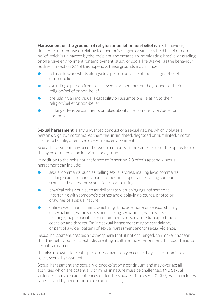**Harassment on the grounds of religion or belief or non-belief** is any behaviour, deliberate or otherwise, relating to a person's religion or similarly held belief or nonbelief which is unwanted by the recipient and creates an intimidating, hostile, degrading or offensive environment for employment, study or social life. As well as the behaviour outlined in section 2.3 of this appendix, these grounds may include:

- **•** refusal to work/study alongside a person because of their religion/belief or non-belief
- **•** excluding a person from social events or meetings on the grounds of their religion/belief or non-belief
- **•** prejudging an individual's capability on assumptions relating to their religion/belief or non-belief
- **•** making offensive comments or jokes about a person's religion/belief or non-belief.

**Sexual harassment** is any unwanted conduct of a sexual nature, which violates a person's dignity, and/or makes them feel intimidated, degraded or humiliated, and/or creates a hostile, offensive or sexualised environment.

Sexual harassment may occur between members of the same sex or of the opposite sex. It may be directed at an individual or a group.

In addition to the behaviour referred to in section 2.3 of this appendix, sexual harassment can include:

- **•** sexual comments, such as: telling sexual stories, making lewd comments, making sexual remarks about clothes and appearance, calling someone sexualised names and sexual 'jokes' or taunting
- **•** physical behaviour, such as: deliberately brushing against someone, interfering with someone's clothes and displaying pictures, photos or drawings of a sexual nature
- **•** online sexual harassment, which might include: non-consensual sharing of sexual images and videos and sharing sexual images and videos (sexting); inappropriate sexual comments on social media; exploitation, coercion and threats. Online sexual harassment may be standalone, or part of a wider pattern of sexual harassment and/or sexual violence.

Sexual harassment creates an atmosphere that, if not challenged, can make it appear that this behaviour is acceptable, creating a culture and environment that could lead to sexual harassment.

It is also unlawful to treat a person less favourably because they either submit to or reject sexual harassment.

Sexual harassment and sexual violence exist on a continuum and may overlap; all activities which are potentially criminal in nature must be challenged. (NB Sexual violence refers to sexual offences under the Sexual Offences Act (2003), which includes rape, assault by penetration and sexual assault.)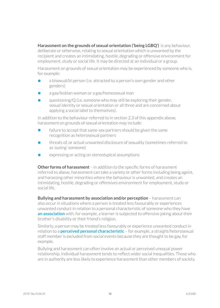**Harassment on the grounds of sexual orientation ('being LGBQ')** is any behaviour, deliberate or otherwise, relating to sexual orientation which is unwanted by the recipient and creates an intimidating, hostile, degrading or offensive environment for employment, study or social life. It may be directed at an individual or a group.

Harassment on grounds of sexual orientation may be experienced by someone who is, for example:

- **•** a bisexual/bi person (i.e. attracted to a person's own gender and other genders)
- **•** a gay/lesbian woman or a gay/homosexual man
- **•** questioning/Q (i.e. someone who may still be exploring their gender, sexual identity or sexual orientation or all three and are concerned about applying a social label to themselves).

In addition to the behaviour referred to in section 2.3 of this appendix above, harassment on grounds of sexual orientation may include:

- **•** failure to accept that same-sex partners should be given the same recognition as heterosexual partners
- **•** threats of, or actual unwanted disclosure of sexuality (sometimes referred to as 'outing' someone)
- **•** expressing or acting on stereotypical assumptions

**Other forms of harassment** – in addition to the specific forms of harassment referred to above, harassment can take a variety or other forms including being ageist, and harassing other minorities where the behaviour is unwanted, and creates an intimidating, hostile, degrading or offensives environment for employment, study or social life.

**Bullying and harassment by association and/or perception** – harassment can also occur in situations where a person is treated less favourably or experiences unwanted conduct in relation to a personal characteristic of someone who they have **an association** with, for example, a learner is subjected to offensive joking about their brother's disability or their friend's religion.

Similarly, a person may be treated less favourably or experience unwanted conduct in relation to a **perceived personal characteristic** – for example, a straight/heterosexual staff member is excluded from social events because they are thought to be gay, for example.

Bullying and harassment can often involve an actual or perceived unequal power relationship. Individual harassment tends to reflect wider social inequalities. Those who are in authority are less likely to experience harassment than other members of society.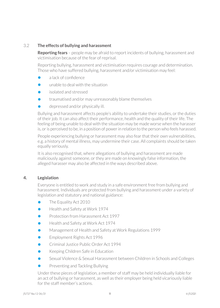# 3.2 **The effects of bullying and harassment**

**Reporting fears** – people may be afraid to report incidents of bullying, harassment and victimisation because of the fear of reprisal.

Reporting bullying, harassment and victimisation requires courage and determination. Those who have suffered bullying, harassment and/or victimisation may feel:

- **•** a lack of confidence
- **•** unable to deal with the situation
- **•** isolated and stressed
- **•** traumatised and/or may unreasonably blame themselves
- **•** depressed and/or physically ill.

Bullying and harassment affects people's ability to undertake their studies, or the duties of their job. It can also affect their performance, health and the quality of their life. The feeling of being unable to deal with the situation may be made worse when the harasser is, or is perceived to be, in a position of power in relation to the person who feels harassed.

People experiencing bullying or harassment may also fear that their own vulnerabilities, e.g. a history of mental illness, may undermine their case. All complaints should be taken equally seriously.

It is also recognised that, where allegations of bullying and harassment are made maliciously against someone, or they are made on knowingly false information, the alleged harasser may also be affected in the ways described above.

# **4. Legislation**

Everyone is entitled to work and study in a safe environment free from bullying and harassment. Individuals are protected from bullying and harassment under a variety of legislation and statutory and national guidance:

- **•** The Equality Act 2010
- **•** Health and Safety at Work 1974
- **•** Protection from Harassment Act 1997
- **•** Health and Safety at Work Act 1974
- **•** Management of Health and Safety at Work Regulations 1999
- Employment Rights Act 1996
- **•** Criminal Justice Public Order Act 1994
- **•** Keeping Children Safe in Education
- **•** Sexual Violence & Sexual Harassment between Children in Schools and Colleges
- **•** Preventing and Tackling Bullying

Under these pieces of legislation, a member of staff may be held individually liable for an act of bullying or harassment, as well as their employer being held vicariously liable for the staff member's actions.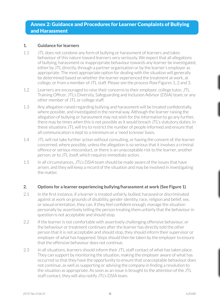# Annex 2: Guidance and Procedures for Learner Complaints of Bullying and Harassment

#### **1. Guidance for learners**

- 1.1 JTL does not condone any form of bullying or harassment of learners and takes behaviour of this nature toward learners very seriously. We expect that all allegations of bullying, harassment or inappropriate behaviour towards any learner be investigated, either by JTL directly, through a partner organisation or by the learner's employer as appropriate. The most appropriate option for dealing with the situation will generally be determined based on whether the learner experienced the treatment at work, at college, or from a member of JTL staff. Please see the process flow Figures 1, 2 and 3.
- 1.2 Learners are encouraged to raise their concerns to their employer, college tutor, JTL Training Officer, JTL's Diversity, Safeguarding and Inclusion Advisor(DSIA) team, or any other member of JTL or college staff.
- 1.3 Any allegation raised regarding bullying and harassment will be treated confidentially, where possible, and investigated in the normal way. Although the learner raising the allegation of bullying or harassment may not wish for the information to go any further, there may be times when this is not possible as it would breach JTL's statutory duties. In these situations JTL will try to restrict the number of people informed and ensure that all communication is kept to a minimum on a 'need to know' basis.
- 1.4 JTL will not take further action without consulting, or having the consent of, the learner concerned, where possible, unless the allegation is so serious that it involves a criminal offence or serious misconduct, or there is an unacceptable risk to the learner, another person, or to JTL itself, which requires immediate action.
- 1.5 In all circumstances, JTL's DSIA team should be made aware of the issues that have arisen, and they will keep a record of the situation and may be involved in investigating the matter.

# **2. Options for a learner experiencing bullying/harassment at work (See Figure 1)**

- 2.1 In the first instance, if a learner is treated unfairly, bullied, harassed or discriminated against at work on grounds of disability, gender identity, race, religion and belief, sex, or sexual orientation, they can, if they feel confident enough, manage the situation personally by assertively telling the person treating them unfairly that the behaviour in question is not acceptable and should stop.
- 2.2 If the learner is not comfortable with assertively challenging offensive behaviour, or the behaviour or treatment continues after the learner has directly told the other person that it is not acceptable and should stop, they should inform their supervisor or employer of what has happened. Steps should then be taken by the employer to ensure that the offensive behaviour does not continue.
- 2.3 In all situations, learners should inform their JTL staff contact of what has taken place. They can support by monitoring the situation, making the employer aware of what has occurred so that they have the opportunity to ensure that unacceptable behaviour does not continue, as well as supporting or advising the company in finding a resolution to the situation as appropriate. As soon as an issue is brought to the attention of the JTL staff contact, they will also notify JTL's DSIA team.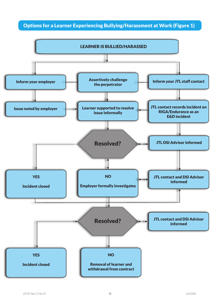# Options for a Learner Experiencing Bullying/Harassment at Work (Figure 1)

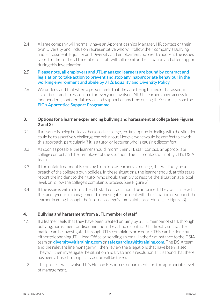2.4 A large company will normally have an Apprenticeships Manager, HR contact or their own Diversity and Inclusion representative who will follow their company's Bullying and Harassment, Equality and Diversity and employment policies to address the issues raised to them. The JTL member of staff will still monitor the situation and offer support during this investigation.

#### 2.5 **Please note, all employers and JTL-managed learners are bound by contract and legislation to take action to prevent and stop any inappropriate behaviour in the working environment and abide by JTL's Equality and Diversity Policy.**

2.6 We understand that when a person feels that they are being bullied or harassed, it is a difficult and stressful time for everyone involved. All JTL learners have access to independent, confidential advice and support at any time during their studies from the **EIC's Apprentice Support Programme**.

#### **3. Options for a learner experiencing bullying and harassment at college (see Figures 2 and 3)**

- 3.1 If a learner is being bullied or harassed at college, the first option in dealing with the situation could be to assertively challenge the behaviour. Not everyone would be comfortable with this approach, particularly if it is a tutor or lecturer who is causing discomfort.
- 3.2 As soon as possible, the learner should inform their JTL staff contact, an appropriate college contact and their employer of the situation. The JTL contact will notify JTL's DSIA team.
- 3.3 If the unfair treatment is coming from fellow learners at college, this will likely be a breach of the college's own policies. In these situations, the learner should, at this stage, report the incident to their tutor who should then try to resolve the situation at a local level, or follow the college's complaints process (see Figure 2).
- 3.4 If the issue is with a tutor, the JTL staff contact should be informed. They will liaise with the faculty/course management to investigate and deal with the situation or support the learner in going through the internal college's complaints procedure (see Figure 3).

# **4. Bullying and harassment from a JTL member of staff**

- 4.1 If a learner feels that they have been treated unfairly by a JTL member of staff, through bullying, harassment or discrimination, they should contact JTL directly so that the matter can be investigated through JTL's complaints procedure. This can be done by either telephoning JTL Head Office or sending an email in the first instance to the DSIA team on **diversity@jtltraining.com** or **safeguarding@jtltraining.com**. The DSIA team and the relevant line manager will then review the allegations that have been raised. They will then investigate the situation and try to find a resolution. If it is found that there has been a breach, disciplinary action will be taken.
- 4.2 This process will involve JTL's Human Resources department and the appropriate level of management.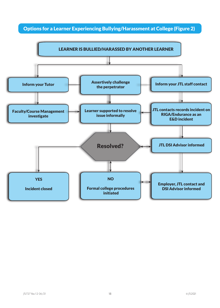Options for a Learner Experiencing Bullying/Harassment at College (Figure 2)

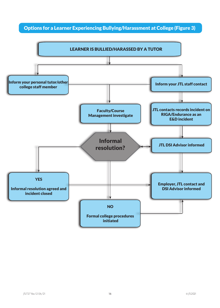# Options for a Learner Experiencing Bullying/Harassment at College (Figure 3)

![](_page_16_Figure_1.jpeg)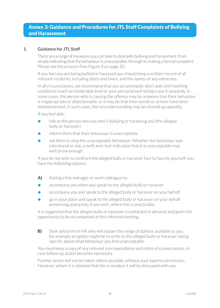# Annex 3: Guidance and Procedures for JTL Staff Complaints of Bullying and Harassment

# **1. Guidance for JTL Staff**

There are a range of measures you can take to deal with bullying and harassment, from simply indicating that the behaviour is unacceptable, through to making a formal complaint. Please see the process flow Figure 4 on page 20.

If you feel you are being bullied or harassed you should keep a written record of all relevant incidents, including dates and times, and the names of any witnesses.

In all circumstances, we recommend that you act promptly: don't wait until working conditions reach an intolerable level or your personal well-being is put in jeopardy. In some cases, the person who is causing the offence may be unaware that their behaviour is inappropriate or objectionable, or it may be that their words or actions have been misinterpreted. In such cases, the misunderstanding may be cleared up speedily.

If you feel able:

- **•** talk to the person who you feel is bullying or harassing you (the alleged bully or harasser)
- **•** inform them that their behaviour is unacceptable
- **•** ask them to stop the unacceptable behaviour. Whether the behaviour was intentional or not, a swift and clear indication that it is unacceptable may well prove enough.

If you do not wish to confront the alleged bully or harasser face to face by yourself, you have the following options:

- A) Asking a line manager or work colleague to:
- **•** accompany you when you speak to the alleged bully or harasser
- **•** accompany you and speak to the alleged bully or harasser on your behalf
- **•** go in your place and speak to the alleged bully or harasser on your behalf preserving anonymity if you wish, where this is practicable.

It is suggested that the alleged bully or harasser is contacted in advance and given the opportunity to be accompanied at this informal meeting.

**B)** Seek advice from HR who will explain the range of options available to you, for example an option might be to write to the alleged bully or harasser, being specific about what behaviour you find unacceptable.

You must keep a copy of any relevant correspondence and notes of conversations, in case follow-up action becomes necessary.

Further action will not be taken, where possible, without your express permission. However, where it is deemed that this is needed, it will be discussed with you.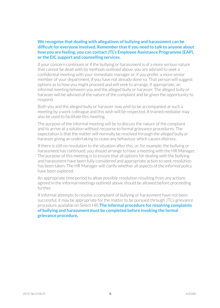#### **We recognise that dealing with allegations of bullying and harassment can be difficultfor everyone involved. Remember thatif you need to talk to anyone about how you are feeling, you can contact JTL's Employee Assistance Programme (EAP), or the EIC support and counselling services.**

If your concern continues or if the bullying or harassment is of a more serious nature that cannot be dealt with by methods outlined above, you are advised to seek a confidential meeting with yourimmediate manager or, if you prefer, a more senior member of your department, if you have not already done so. That person will suggest options as to how you might proceed and will seek to arrange, if appropriate, an informal meeting between you and the alleged bully or harasser. The alleged bully or harasser will be advised of the nature of the complaint and be given the opportunity to respond.

Both you and the alleged bully or harasser may wish to be accompanied at such a meeting by a work colleague and this wish will be respected. A trained mediator may also be used to facilitate this meeting.

The purpose of the informal meeting will be to discuss the nature of the complaint and to arrive at a solution without recourse to formal grievance procedures. The expectation is that the matter will normally be resolved through the alleged bully or harasser giving an undertaking to cease any behaviour which causes distress.

If there is still no resolution to the situation after this, or, for example, the bullying or harassment has continued, you should arrange to have a meeting with the HR Manager. The purpose of this meeting is to ensure that all options for dealing with the bullying and harassment have been fully considered and appropriate action to seek resolution has been taken. The HR Manager will clarify whether all aspects of the informal policy have been explored.

An appropriate time period to allow possible resolution resulting from any actions agreed in the informal meetings outlined above should be allowed before proceeding further.

If informal attempts to resolve a complaint of bullying or harassment have not been successful, it may be appropriate for the matter to be pursued through JTL's grievance procedure available on Select HR. **The informal procedure for resolving complaints of bullying and harassment must be completed before invoking the formal grievance procedure.**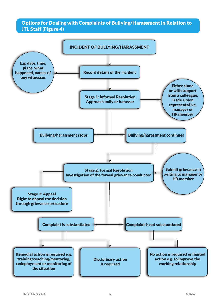# Options for Dealing with Complaints of Bullying/Harassment in Relation to JTL Staff (Figure 4)

![](_page_19_Figure_1.jpeg)